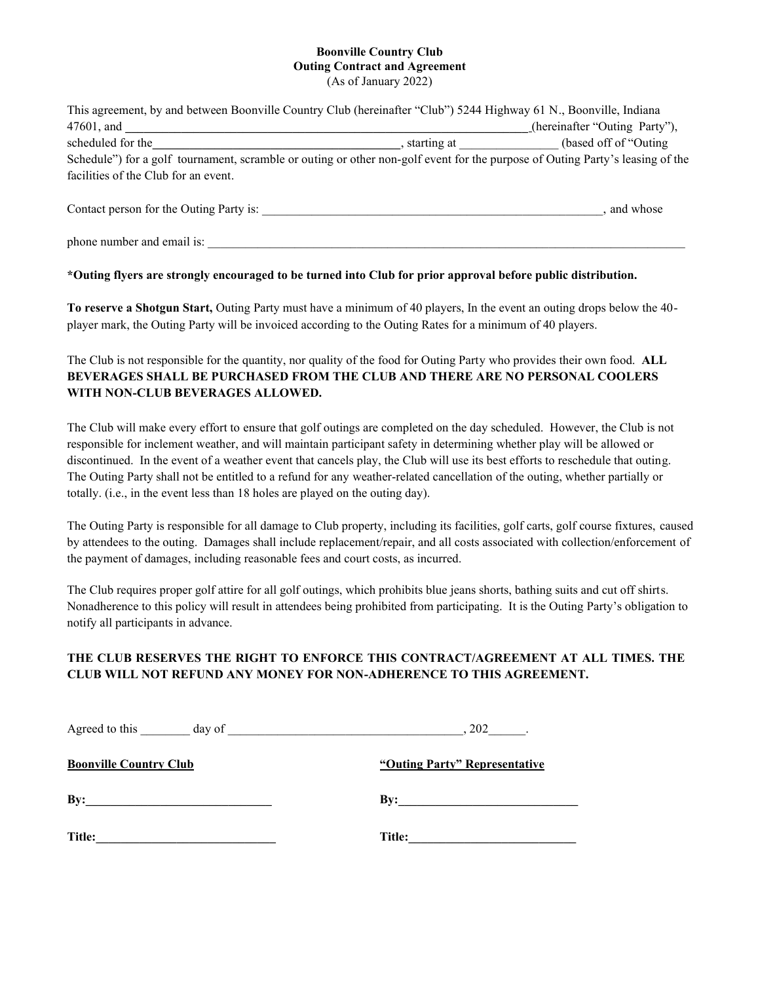# **Boonville Country Club Outing Contract and Agreement**

(As of January 2022)

| This agreement, by and between Boonville Country Club (hereinafter "Club") 5244 Highway 61 N., Boonville, Indiana             |             |                               |
|-------------------------------------------------------------------------------------------------------------------------------|-------------|-------------------------------|
| 47601, and                                                                                                                    |             | (hereinafter "Outing Party"), |
| scheduled for the                                                                                                             | starting at | (based off of "Outing")       |
| Schedule") for a golf tournament, scramble or outing or other non-golf event for the purpose of Outing Party's leasing of the |             |                               |
| facilities of the Club for an event.                                                                                          |             |                               |
| Contact person for the Outing Party is:                                                                                       |             | and whose                     |

phone number and email is:

#### **\*Outing flyers are strongly encouraged to be turned into Club for prior approval before public distribution.**

**To reserve a Shotgun Start,** Outing Party must have a minimum of 40 players, In the event an outing drops below the 40 player mark, the Outing Party will be invoiced according to the Outing Rates for a minimum of 40 players.

The Club is not responsible for the quantity, nor quality of the food for Outing Party who provides their own food. **ALL BEVERAGES SHALL BE PURCHASED FROM THE CLUB AND THERE ARE NO PERSONAL COOLERS WITH NON-CLUB BEVERAGES ALLOWED.** 

The Club will make every effort to ensure that golf outings are completed on the day scheduled. However, the Club is not responsible for inclement weather, and will maintain participant safety in determining whether play will be allowed or discontinued. In the event of a weather event that cancels play, the Club will use its best efforts to reschedule that outing. The Outing Party shall not be entitled to a refund for any weather-related cancellation of the outing, whether partially or totally. (i.e., in the event less than 18 holes are played on the outing day).

The Outing Party is responsible for all damage to Club property, including its facilities, golf carts, golf course fixtures, caused by attendees to the outing. Damages shall include replacement/repair, and all costs associated with collection/enforcement of the payment of damages, including reasonable fees and court costs, as incurred.

The Club requires proper golf attire for all golf outings, which prohibits blue jeans shorts, bathing suits and cut off shirts. Nonadherence to this policy will result in attendees being prohibited from participating. It is the Outing Party's obligation to notify all participants in advance.

#### **THE CLUB RESERVES THE RIGHT TO ENFORCE THIS CONTRACT/AGREEMENT AT ALL TIMES. THE CLUB WILL NOT REFUND ANY MONEY FOR NON-ADHERENCE TO THIS AGREEMENT.**

| Agreed to this<br>day of      | .202                          |
|-------------------------------|-------------------------------|
| <b>Boonville Country Club</b> | "Outing Party" Representative |
| By:                           | By:                           |
| Title:                        | Title:                        |